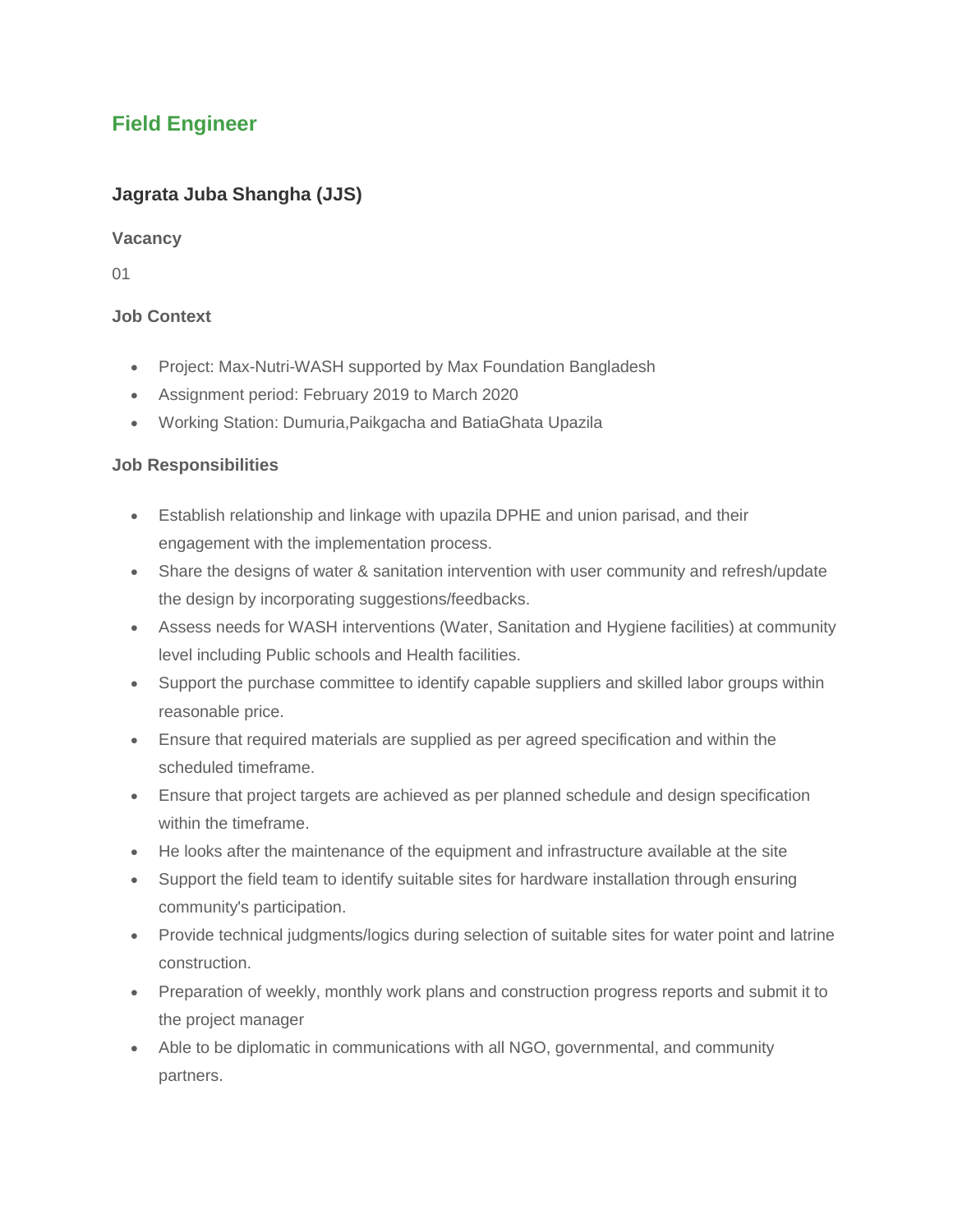## **Field Engineer**

### **Jagrata Juba Shangha (JJS)**

#### **Vacancy**

01

#### **Job Context**

- Project: Max-Nutri-WASH supported by Max Foundation Bangladesh
- Assignment period: February 2019 to March 2020
- Working Station: Dumuria,Paikgacha and BatiaGhata Upazila

#### **Job Responsibilities**

- Establish relationship and linkage with upazila DPHE and union parisad, and their engagement with the implementation process.
- Share the designs of water & sanitation intervention with user community and refresh/update the design by incorporating suggestions/feedbacks.
- Assess needs for WASH interventions (Water, Sanitation and Hygiene facilities) at community level including Public schools and Health facilities.
- Support the purchase committee to identify capable suppliers and skilled labor groups within reasonable price.
- Ensure that required materials are supplied as per agreed specification and within the scheduled timeframe.
- Ensure that project targets are achieved as per planned schedule and design specification within the timeframe.
- He looks after the maintenance of the equipment and infrastructure available at the site
- Support the field team to identify suitable sites for hardware installation through ensuring community's participation.
- Provide technical judgments/logics during selection of suitable sites for water point and latrine construction.
- Preparation of weekly, monthly work plans and construction progress reports and submit it to the project manager
- Able to be diplomatic in communications with all NGO, governmental, and community partners.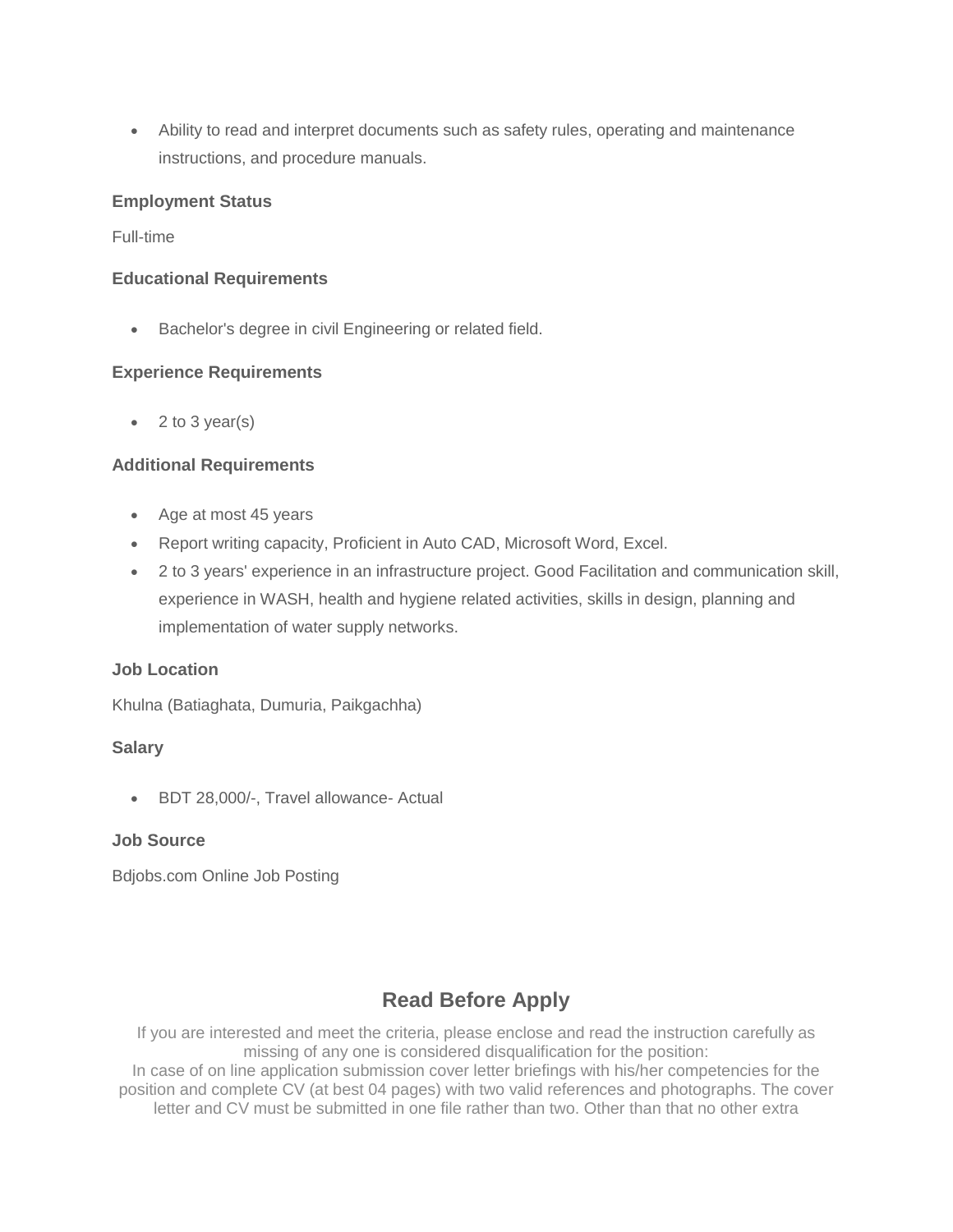Ability to read and interpret documents such as safety rules, operating and maintenance instructions, and procedure manuals.

#### **Employment Status**

#### Full-time

#### **Educational Requirements**

**Bachelor's degree in civil Engineering or related field.** 

#### **Experience Requirements**

 $\bullet$  2 to 3 year(s)

#### **Additional Requirements**

- Age at most 45 years
- Report writing capacity, Proficient in Auto CAD, Microsoft Word, Excel.
- 2 to 3 years' experience in an infrastructure project. Good Facilitation and communication skill, experience in WASH, health and hygiene related activities, skills in design, planning and implementation of water supply networks.

#### **Job Location**

Khulna (Batiaghata, Dumuria, Paikgachha)

#### **Salary**

BDT 28,000/-, Travel allowance- Actual

#### **Job Source**

Bdjobs.com Online Job Posting

# **Read Before Apply**

If you are interested and meet the criteria, please enclose and read the instruction carefully as missing of any one is considered disqualification for the position: In case of on line application submission cover letter briefings with his/her competencies for the position and complete CV (at best 04 pages) with two valid references and photographs. The cover letter and CV must be submitted in one file rather than two. Other than that no other extra